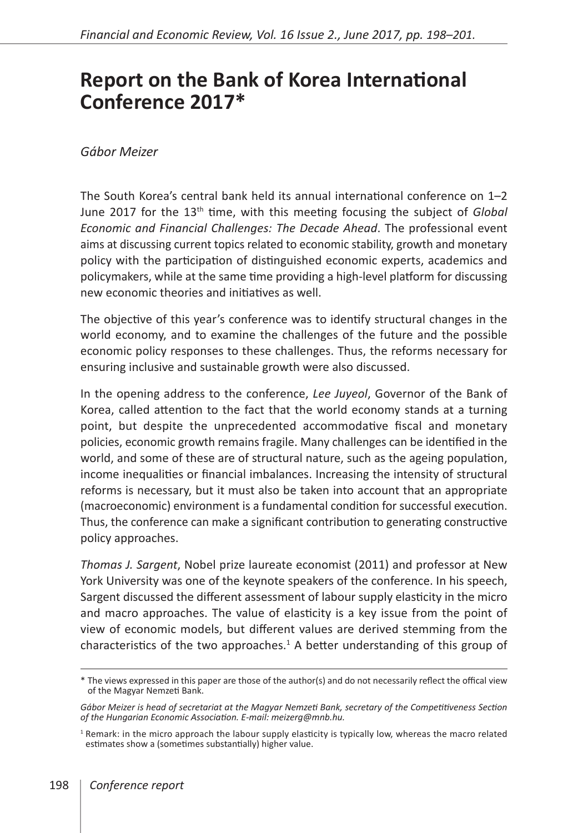## **Report on the Bank of Korea International Conference 2017\***

## *Gábor Meizer*

The South Korea's central bank held its annual international conference on 1–2 June 2017 for the 13<sup>th</sup> time, with this meeting focusing the subject of *Global Economic and Financial Challenges: The Decade Ahead*. The professional event aims at discussing current topics related to economic stability, growth and monetary policy with the participation of distinguished economic experts, academics and policymakers, while at the same time providing a high-level platform for discussing new economic theories and initiatives as well.

The objective of this year's conference was to identify structural changes in the world economy, and to examine the challenges of the future and the possible economic policy responses to these challenges. Thus, the reforms necessary for ensuring inclusive and sustainable growth were also discussed.

In the opening address to the conference, *Lee Juyeol*, Governor of the Bank of Korea, called attention to the fact that the world economy stands at a turning point, but despite the unprecedented accommodative fiscal and monetary policies, economic growth remains fragile. Many challenges can be identified in the world, and some of these are of structural nature, such as the ageing population, income inequalities or financial imbalances. Increasing the intensity of structural reforms is necessary, but it must also be taken into account that an appropriate (macroeconomic) environment is a fundamental condition for successful execution. Thus, the conference can make a significant contribution to generating constructive policy approaches.

*Thomas J. Sargent*, Nobel prize laureate economist (2011) and professor at New York University was one of the keynote speakers of the conference. In his speech, Sargent discussed the different assessment of labour supply elasticity in the micro and macro approaches. The value of elasticity is a key issue from the point of view of economic models, but different values are derived stemming from the characteristics of the two approaches. $<sup>1</sup>$  A better understanding of this group of</sup>

<sup>\*</sup> The views expressed in this paper are those of the author(s) and do not necessarily reflect the offical view of the Magyar Nemzeti Bank.

*Gábor Meizer is head of secretariat at the Magyar Nemzeti Bank, secretary of the Competitiveness Section of the Hungarian Economic Association. E-mail: [meizerg@mnb.hu](mailto:meizerg@mnb.hu).*

<sup>&</sup>lt;sup>1</sup> Remark: in the micro approach the labour supply elasticity is typically low, whereas the macro related estimates show a (sometimes substantially) higher value.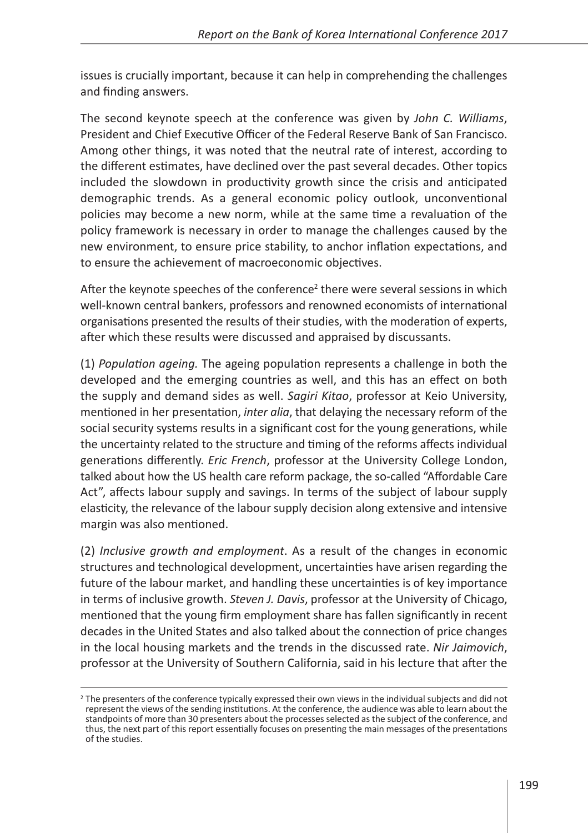issues is crucially important, because it can help in comprehending the challenges and finding answers.

The second keynote speech at the conference was given by *John C. Williams*, President and Chief Executive Officer of the Federal Reserve Bank of San Francisco. Among other things, it was noted that the neutral rate of interest, according to the different estimates, have declined over the past several decades. Other topics included the slowdown in productivity growth since the crisis and anticipated demographic trends. As a general economic policy outlook, unconventional policies may become a new norm, while at the same time a revaluation of the policy framework is necessary in order to manage the challenges caused by the new environment, to ensure price stability, to anchor inflation expectations, and to ensure the achievement of macroeconomic objectives.

After the keynote speeches of the conference<sup>2</sup> there were several sessions in which well-known central bankers, professors and renowned economists of international organisations presented the results of their studies, with the moderation of experts, after which these results were discussed and appraised by discussants.

(1) *Population ageing.* The ageing population represents a challenge in both the developed and the emerging countries as well, and this has an effect on both the supply and demand sides as well. *Sagiri Kitao*, professor at Keio University, mentioned in her presentation, *inter alia*, that delaying the necessary reform of the social security systems results in a significant cost for the young generations, while the uncertainty related to the structure and timing of the reforms affects individual generations differently. *Eric French*, professor at the University College London, talked about how the US health care reform package, the so-called "Affordable Care Act", affects labour supply and savings. In terms of the subject of labour supply elasticity, the relevance of the labour supply decision along extensive and intensive margin was also mentioned.

(2) *Inclusive growth and employment*. As a result of the changes in economic structures and technological development, uncertainties have arisen regarding the future of the labour market, and handling these uncertainties is of key importance in terms of inclusive growth. *Steven J. Davis*, professor at the University of Chicago, mentioned that the young firm employment share has fallen significantly in recent decades in the United States and also talked about the connection of price changes in the local housing markets and the trends in the discussed rate. *Nir Jaimovich*, professor at the University of Southern California, said in his lecture that after the

<sup>&</sup>lt;sup>2</sup> The presenters of the conference typically expressed their own views in the individual subjects and did not represent the views of the sending institutions. At the conference, the audience was able to learn about the standpoints of more than 30 presenters about the processes selected as the subject of the conference, and thus, the next part of this report essentially focuses on presenting the main messages of the presentations of the studies.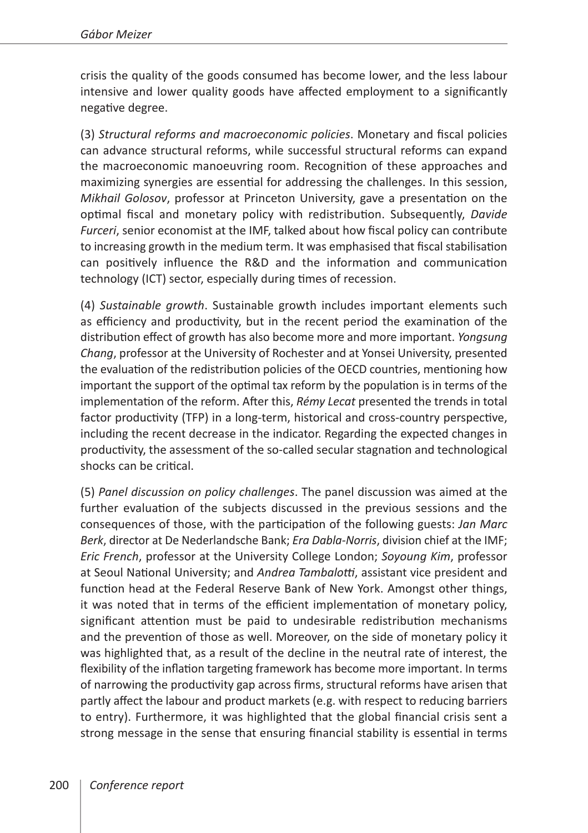crisis the quality of the goods consumed has become lower, and the less labour intensive and lower quality goods have affected employment to a significantly negative degree.

(3) *Structural reforms and macroeconomic policies*. Monetary and fiscal policies can advance structural reforms, while successful structural reforms can expand the macroeconomic manoeuvring room. Recognition of these approaches and maximizing synergies are essential for addressing the challenges. In this session, *Mikhail Golosov*, professor at Princeton University, gave a presentation on the optimal fiscal and monetary policy with redistribution. Subsequently, *Davide Furceri*, senior economist at the IMF, talked about how fiscal policy can contribute to increasing growth in the medium term. It was emphasised that fiscal stabilisation can positively influence the R&D and the information and communication technology (ICT) sector, especially during times of recession.

(4) *Sustainable growth*. Sustainable growth includes important elements such as efficiency and productivity, but in the recent period the examination of the distribution effect of growth has also become more and more important. *Yongsung Chang*, professor at the University of Rochester and at Yonsei University, presented the evaluation of the redistribution policies of the OECD countries, mentioning how important the support of the optimal tax reform by the population is in terms of the implementation of the reform. After this, *Rémy Lecat* presented the trends in total factor productivity (TFP) in a long-term, historical and cross-country perspective, including the recent decrease in the indicator. Regarding the expected changes in productivity, the assessment of the so-called secular stagnation and technological shocks can be critical.

(5) *Panel discussion on policy challenges*. The panel discussion was aimed at the further evaluation of the subjects discussed in the previous sessions and the consequences of those, with the participation of the following guests: *Jan Marc Berk*, director at De Nederlandsche Bank; *Era Dabla-Norris*, division chief at the IMF; *Eric French*, professor at the University College London; *Soyoung Kim*, professor at Seoul National University; and *Andrea Tambalotti*, assistant vice president and function head at the Federal Reserve Bank of New York. Amongst other things, it was noted that in terms of the efficient implementation of monetary policy, significant attention must be paid to undesirable redistribution mechanisms and the prevention of those as well. Moreover, on the side of monetary policy it was highlighted that, as a result of the decline in the neutral rate of interest, the flexibility of the inflation targeting framework has become more important. In terms of narrowing the productivity gap across firms, structural reforms have arisen that partly affect the labour and product markets (e.g. with respect to reducing barriers to entry). Furthermore, it was highlighted that the global financial crisis sent a strong message in the sense that ensuring financial stability is essential in terms